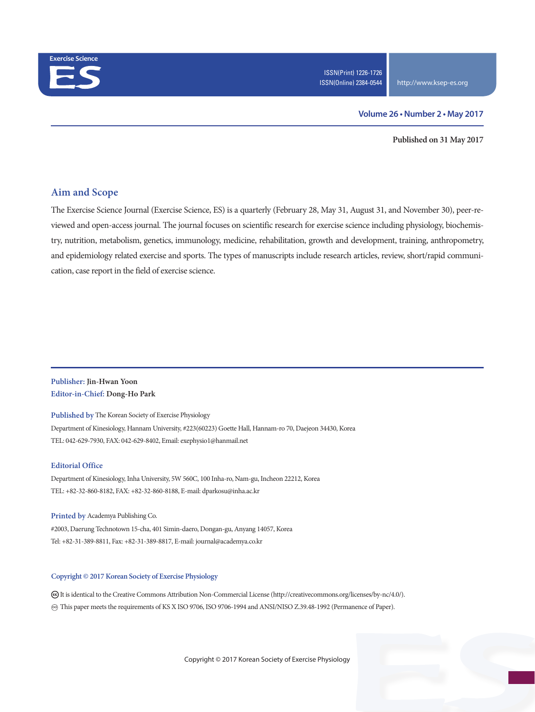

#### **Volume 26 • Number 2 • May 2017**

**Published on 31 May 2017**

## **Aim and Scope**

The Exercise Science Journal (Exercise Science, ES) is a quarterly (February 28, May 31, August 31, and November 30), peer-reviewed and open-access journal. The journal focuses on scientific research for exercise science including physiology, biochemistry, nutrition, metabolism, genetics, immunology, medicine, rehabilitation, growth and development, training, anthropometry, and epidemiology related exercise and sports. The types of manuscripts include research articles, review, short/rapid communication, case report in the field of exercise science.

### **Publisher: Jin-Hwan Yoon Editor-in-Chief: Dong-Ho Park**

**Published by** The Korean Society of Exercise Physiology Department of Kinesiology, Hannam University, #223(60223) Goette Hall, Hannam-ro 70, Daejeon 34430, Korea TEL: 042-629-7930, FAX: 042-629-8402, Email: exephysio1@hanmail.net

#### **Editorial Office**

Department of Kinesiology, Inha University, 5W 560C, 100 Inha-ro, Nam-gu, Incheon 22212, Korea TEL: +82-32-860-8182, FAX: +82-32-860-8188, E-mail: dparkosu@inha.ac.kr

**Printed by** Academya Publishing Co. #2003, Daerung Technotown 15-cha, 401 Simin-daero, Dongan-gu, Anyang 14057, Korea Tel: +82-31-389-8811, Fax: +82-31-389-8817, E-mail: journal@academya.co.kr

#### **Copyright © 2017 Korean Society of Exercise Physiology**

 It is identical to the Creative Commons Attribution Non-Commercial License (http://creativecommons.org/licenses/by-nc/4.0/). ∞ This paper meets the requirements of KS X ISO 9706, ISO 9706-1994 and ANSI/NISO Z.39.48-1992 (Permanence of Paper).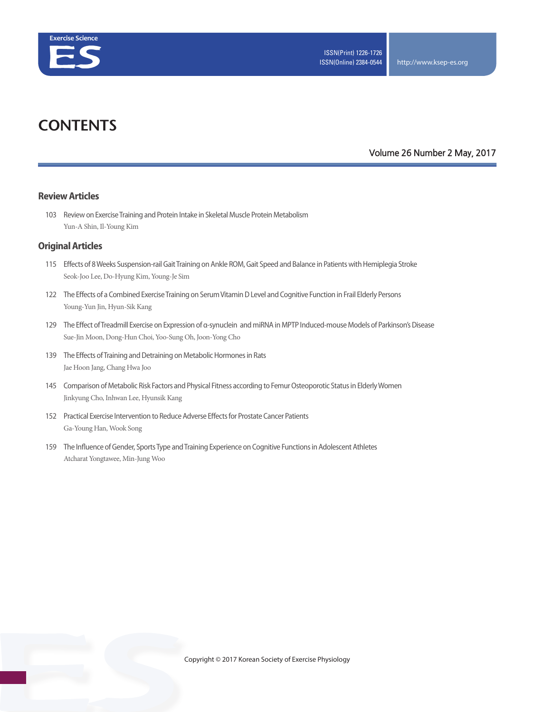

# **CONTENTS**

### **Volume 26 Number 2 May, 2017**

#### **Review Articles**

103 Review on Exercise Training and Protein Intake in Skeletal Muscle Protein Metabolism Yun-A Shin, Il-Young Kim

#### **Original Articles**

- 115 Effects of 8 Weeks Suspension-rail Gait Training on Ankle ROM, Gait Speed and Balance in Patients with Hemiplegia Stroke Seok-Joo Lee, Do-Hyung Kim, Young-Je Sim
- 122 The Effects of a Combined Exercise Training on Serum Vitamin D Level and Cognitive Function in Frail Elderly Persons Young-Yun Jin, Hyun-Sik Kang
- 129 The Effect of Treadmill Exercise on Expression of α-synuclein and miRNA in MPTP Induced-mouse Models of Parkinson's Disease Sue-Jin Moon, Dong-Hun Choi, Yoo-Sung Oh, Joon-Yong Cho
- 139 The Effects of Training and Detraining on Metabolic Hormones in Rats Jae Hoon Jang, Chang Hwa Joo
- 145 Comparison of Metabolic Risk Factors and Physical Fitness according to Femur Osteoporotic Status in Elderly Women Jinkyung Cho, Inhwan Lee, Hyunsik Kang
- 152 Practical Exercise Intervention to Reduce Adverse Effects for Prostate Cancer Patients Ga-Young Han, Wook Song
- 159 The Influence of Gender, Sports Type and Training Experience on Cognitive Functions in Adolescent Athletes Atcharat Yongtawee, Min-Jung Woo